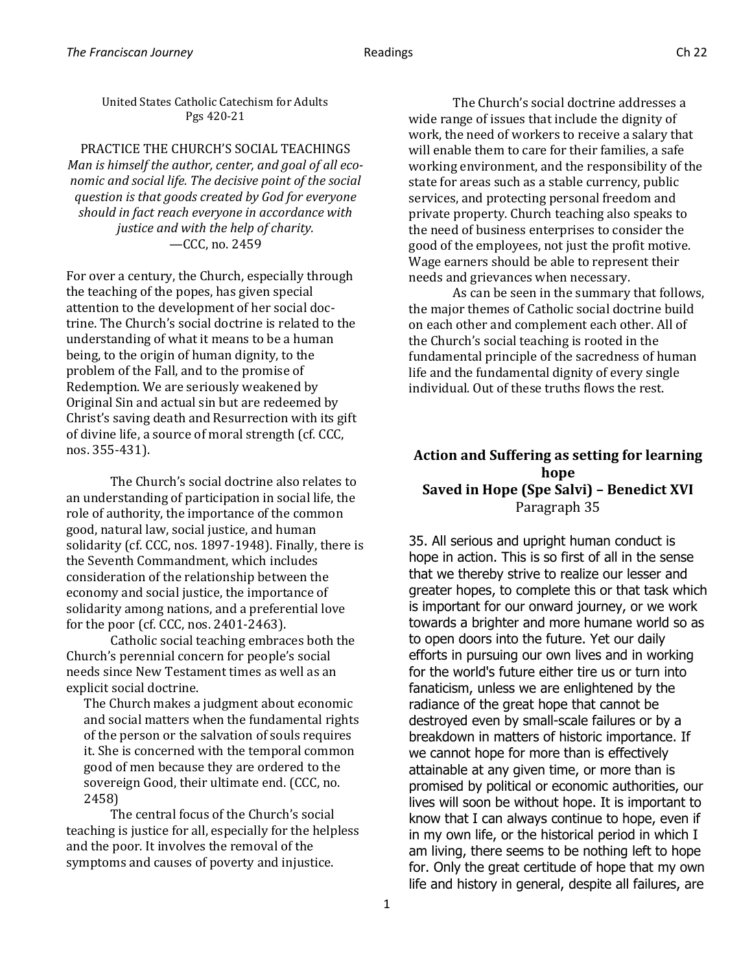United States Catholic Catechism for Adults Pgs 420-21

PRACTICE THE CHURCH'S SOCIAL TEACHINGS *Man is himself the author, center, and goal of all economic and social life. The decisive point of the social question is that goods created by God for everyone should in fact reach everyone in accordance with justice and with the help of charity.* —CCC, no. 2459

For over a century, the Church, especially through the teaching of the popes, has given special attention to the development of her social doctrine. The Church's social doctrine is related to the understanding of what it means to be a human being, to the origin of human dignity, to the problem of the Fall, and to the promise of Redemption. We are seriously weakened by Original Sin and actual sin but are redeemed by Christ's saving death and Resurrection with its gift of divine life, a source of moral strength (cf. CCC, nos. 355-431).

The Church's social doctrine also relates to an understanding of participation in social life, the role of authority, the importance of the common good, natural law, social justice, and human solidarity (cf. CCC, nos. 1897-1948). Finally, there is the Seventh Commandment, which includes consideration of the relationship between the economy and social justice, the importance of solidarity among nations, and a preferential love for the poor (cf. CCC, nos. 2401-2463).

Catholic social teaching embraces both the Church's perennial concern for people's social needs since New Testament times as well as an explicit social doctrine.

 The Church makes a judgment about economic and social matters when the fundamental rights of the person or the salvation of souls requires it. She is concerned with the temporal common good of men because they are ordered to the sovereign Good, their ultimate end. (CCC, no. 2458)

The central focus of the Church's social teaching is justice for all, especially for the helpless and the poor. It involves the removal of the symptoms and causes of poverty and injustice.

The Church's social doctrine addresses a wide range of issues that include the dignity of work, the need of workers to receive a salary that will enable them to care for their families, a safe working environment, and the responsibility of the state for areas such as a stable currency, public services, and protecting personal freedom and private property. Church teaching also speaks to the need of business enterprises to consider the good of the employees, not just the profit motive. Wage earners should be able to represent their needs and grievances when necessary.

As can be seen in the summary that follows, the major themes of Catholic social doctrine build on each other and complement each other. All of the Church's social teaching is rooted in the fundamental principle of the sacredness of human life and the fundamental dignity of every single individual. Out of these truths flows the rest.

# **Action and Suffering as setting for learning hope Saved in Hope (Spe Salvi) – Benedict XVI** Paragraph 35

35. All serious and upright human conduct is hope in action. This is so first of all in the sense that we thereby strive to realize our lesser and greater hopes, to complete this or that task which is important for our onward journey, or we work towards a brighter and more humane world so as to open doors into the future. Yet our daily efforts in pursuing our own lives and in working for the world's future either tire us or turn into fanaticism, unless we are enlightened by the radiance of the great hope that cannot be destroyed even by small-scale failures or by a breakdown in matters of historic importance. If we cannot hope for more than is effectively attainable at any given time, or more than is promised by political or economic authorities, our lives will soon be without hope. It is important to know that I can always continue to hope, even if in my own life, or the historical period in which I am living, there seems to be nothing left to hope for. Only the great certitude of hope that my own life and history in general, despite all failures, are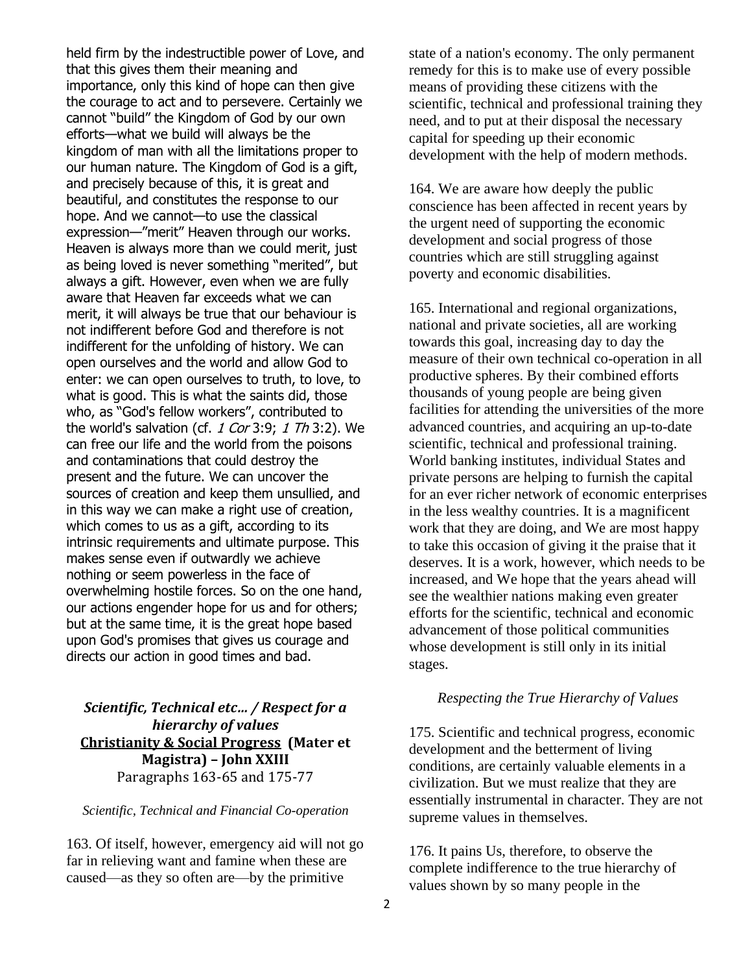held firm by the indestructible power of Love, and that this gives them their meaning and importance, only this kind of hope can then give the courage to act and to persevere. Certainly we cannot "build" the Kingdom of God by our own efforts—what we build will always be the kingdom of man with all the limitations proper to our human nature. The Kingdom of God is a gift, and precisely because of this, it is great and beautiful, and constitutes the response to our hope. And we cannot—to use the classical expression—"merit" Heaven through our works. Heaven is always more than we could merit, just as being loved is never something "merited", but always a gift. However, even when we are fully aware that Heaven far exceeds what we can merit, it will always be true that our behaviour is not indifferent before God and therefore is not indifferent for the unfolding of history. We can open ourselves and the world and allow God to enter: we can open ourselves to truth, to love, to what is good. This is what the saints did, those who, as "God's fellow workers", contributed to the world's salvation (cf.  $1$  Cor 3:9;  $1$  Th 3:2). We can free our life and the world from the poisons and contaminations that could destroy the present and the future. We can uncover the sources of creation and keep them unsullied, and in this way we can make a right use of creation, which comes to us as a gift, according to its intrinsic requirements and ultimate purpose. This makes sense even if outwardly we achieve nothing or seem powerless in the face of overwhelming hostile forces. So on the one hand, our actions engender hope for us and for others; but at the same time, it is the great hope based upon God's promises that gives us courage and directs our action in good times and bad.

# *Scientific, Technical etc… / Respect for a hierarchy of values* **Christianity & Social Progress (Mater et Magistra) – John XXIII** Paragraphs 163-65 and 175-77

### *Scientific, Technical and Financial Co-operation*

163. Of itself, however, emergency aid will not go far in relieving want and famine when these are caused—as they so often are—by the primitive

state of a nation's economy. The only permanent remedy for this is to make use of every possible means of providing these citizens with the scientific, technical and professional training they need, and to put at their disposal the necessary capital for speeding up their economic development with the help of modern methods.

164. We are aware how deeply the public conscience has been affected in recent years by the urgent need of supporting the economic development and social progress of those countries which are still struggling against poverty and economic disabilities.

165. International and regional organizations, national and private societies, all are working towards this goal, increasing day to day the measure of their own technical co-operation in all productive spheres. By their combined efforts thousands of young people are being given facilities for attending the universities of the more advanced countries, and acquiring an up-to-date scientific, technical and professional training. World banking institutes, individual States and private persons are helping to furnish the capital for an ever richer network of economic enterprises in the less wealthy countries. It is a magnificent work that they are doing, and We are most happy to take this occasion of giving it the praise that it deserves. It is a work, however, which needs to be increased, and We hope that the years ahead will see the wealthier nations making even greater efforts for the scientific, technical and economic advancement of those political communities whose development is still only in its initial stages.

### *Respecting the True Hierarchy of Values*

175. Scientific and technical progress, economic development and the betterment of living conditions, are certainly valuable elements in a civilization. But we must realize that they are essentially instrumental in character. They are not supreme values in themselves.

176. It pains Us, therefore, to observe the complete indifference to the true hierarchy of values shown by so many people in the